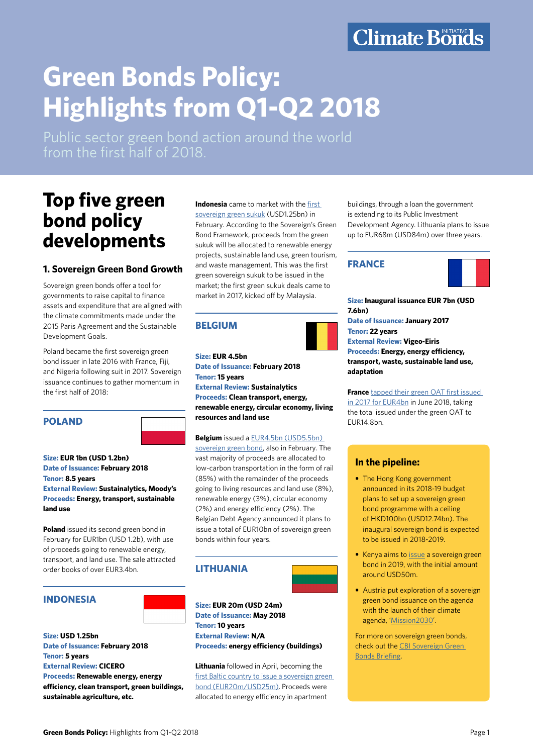## **Climate Bonds**

# **Green Bonds Policy: Highlights from Q1-Q2 2018**

Public sector green bond action around the world from the first half of 2018.

### **Top five green bond policy developments**

#### **1. Sovereign Green Bond Growth**

Sovereign green bonds offer a tool for governments to raise capital to finance assets and expenditure that are aligned with the climate commitments made under the 2015 Paris Agreement and the Sustainable Development Goals.

Poland became the first sovereign green bond issuer in late 2016 with France, Fiji, and Nigeria following suit in 2017. Sovereign issuance continues to gather momentum in the first half of 2018:

#### **POLAND**

**Size: EUR 1bn (USD 1.2bn) Date of Issuance: February 2018 Tenor: 8.5 years External Review: Sustainalytics, Moody's Proceeds: Energy, transport, sustainable land use** 

**Poland** issued its second green bond in February for EUR1bn (USD 1.2b), with use of proceeds going to renewable energy, transport, and land use. The sale attracted order books of over EUR3.4bn.

#### **INDONESIA**



**Size: USD 1.25bn Date of Issuance: February 2018 Tenor: 5 years External Review: CICERO Proceeds: Renewable energy, energy efficiency, clean transport, green buildings, sustainable agriculture, etc.**

**Indonesia** came to market with the [first](https://www.sukuk.com/article/indonesia-raises-3bn-in-sovereign-sukuk-including-1-25bn-green-sukuk-6835/)  [sovereign green sukuk](https://www.sukuk.com/article/indonesia-raises-3bn-in-sovereign-sukuk-including-1-25bn-green-sukuk-6835/) (USD1.25bn) in February. According to the Sovereign's Green Bond Framework, proceeds from the green sukuk will be allocated to renewable energy projects, sustainable land use, green tourism, and waste management. This was the first green sovereign sukuk to be issued in the market; the first green sukuk deals came to market in 2017, kicked off by Malaysia.

#### **BELGIUM**



**Size: EUR 4.5bn Date of Issuance: February 2018 Tenor: 15 years External Review: Sustainalytics Proceeds: Clean transport, energy, renewable energy, circular economy, living resources and land use**

**Belgium** issued a [EUR4.5bn \(USD5.5bn\)](https://www.debtagency.be/sites/default/files/content/download/files/olo_86_deal_summary.pdf)  [sovereign green bond,](https://www.debtagency.be/sites/default/files/content/download/files/olo_86_deal_summary.pdf) also in February. The vast majority of proceeds are allocated to low-carbon transportation in the form of rail (85%) with the remainder of the proceeds going to living resources and land use (8%), renewable energy (3%), circular economy (2%) and energy efficiency (2%). The Belgian Debt Agency announced it plans to issue a total of EUR10bn of sovereign green bonds within four years.

### **LITHUANIA**



**Size: EUR 20m (USD 24m) Date of Issuance: May 2018 Tenor: 10 years External Review: N/A Proceeds: energy efficiency (buildings)**

**Lithuania** followed in April, becoming the [first Baltic country to issue a sovereign green](https://finmin.lrv.lt/en/news/lithuanian-green-bonds-are-already-on-the-stock-exchange)  [bond \(EUR20m/USD25m\)](https://finmin.lrv.lt/en/news/lithuanian-green-bonds-are-already-on-the-stock-exchange). Proceeds were allocated to energy efficiency in apartment

buildings, through a loan the government is extending to its Public Investment Development Agency. Lithuania plans to issue up to EUR68m (USD84m) over three years.

#### **FRANCE**



**Size: Inaugural issuance EUR 7bn (USD 7.6bn) Date of Issuance: January 2017 Tenor: 22 years External Review: Vigeo-Eiris Proceeds: Energy, energy efficiency, transport, waste, sustainable land use, adaptation** 

**France** [tapped their green OAT first issued](http://www.aft.gouv.fr/articles/results-syndicated-tap-issue-of-the-green-oat-1-75-25-june-2039_13274.html)  [in 2017 for EUR4bn](http://www.aft.gouv.fr/articles/results-syndicated-tap-issue-of-the-green-oat-1-75-25-june-2039_13274.html) in June 2018, taking the total issued under the green OAT to EUR14.8bn.

#### **In the pipeline:**

- **•** The Hong Kong government announced in its 2018-19 budget plans to set up a sovereign green bond programme with a ceiling of HKD100bn (USD12.74bn). The inaugural sovereign bond is expected to be issued in 2018-2019.
- **•** Kenya aims to [issue](https://www.reuters.com/article/kenya-bonds/kenya-aims-to-issue-green-sovereign-bond-in-2018-19-idUSL5N1SU4WJ) a sovereign green bond in 2019, with the initial amount around USD50m.
- **•** Austria put exploration of a sovereign green bond issuance on the agenda with the launch of their climate agenda, '[Mission2030'](https://www.mission2030.info/).

For more on sovereign green bonds, check out the [CBI Sovereign Green](https://www.climatebonds.net/resources/reports/sovereign-green-bonds)  [Bonds Briefing.](https://www.climatebonds.net/resources/reports/sovereign-green-bonds)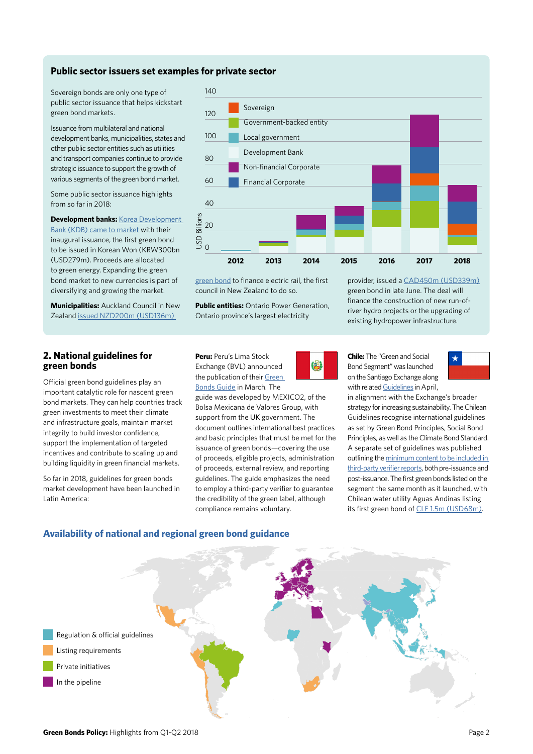#### **Public sector issuers set examples for private sector**

Sovereign bonds are only one type of public sector issuance that helps kickstart green bond markets.

Issuance from multilateral and national development banks, municipalities, states and other public sector entities such as utilities and transport companies continue to provide strategic issuance to support the growth of various segments of the green bond market.

Some public sector issuance highlights from so far in 2018:

**Development banks:** [Korea Development](http://www.koreabizwire.com/korea-development-bank-issues-green-bonds/119343)  [Bank \(KDB\) came to market](http://www.koreabizwire.com/korea-development-bank-issues-green-bonds/119343) with their inaugural issuance, the first green bond to be issued in Korean Won (KRW300bn (USD279m). Proceeds are allocated to green energy. Expanding the green bond market to new currencies is part of diversifying and growing the market.

**Municipalities:** Auckland Council in New Zealand [issued NZD200m \(USD136m\)](http://www.ourauckland.aucklandcouncil.govt.nz/articles/news/2018/6/green-bond-issue-a-success-with-200-million-raised-for-electric-trains/) 



[green bond](http://www.ourauckland.aucklandcouncil.govt.nz/articles/news/2018/6/green-bond-issue-a-success-with-200-million-raised-for-electric-trains/) to finance electric rail, the first council in New Zealand to do so.

**Public entities:** Ontario Power Generation, Ontario province's largest electricity

**Peru:** Peru's Lima Stock Exchange (BVL) announced the publication of their [Green](https://www.assets.publishing.service.gov.uk/government/uploads/system/uploads/attachment_data/file/703502/27-04_GUIA_PERU_MX2_FINAL.pdf) 

8

**Chile:** The "Green and Social Bond Segment" was launched on the Santiago Exchange along with related [Guidelines](http://www.inter.bolsadesantiago.com/sitios/en/Documentos Bonos Verdes/Gu%C3%ADa Segmento de Bonos Verdes y Sociales VF.PDF) in April,



in alignment with the Exchange's broader strategy for increasing sustainability. The Chilean Guidelines recognise international guidelines as set by Green Bond Principles, Social Bond Principles, as well as the Climate Bond Standard. A separate set of guidelines was published outlining the [minimum content to be included in](http://www.inter.bolsadesantiago.com/sitios/en/Documentos Bonos Verdes/Contenido M%C3%ADnimo Informe VF.PDF) [third-party verifier reports](http://www.inter.bolsadesantiago.com/sitios/en/Documentos Bonos Verdes/Contenido M%C3%ADnimo Informe VF.PDF), both pre-issuance and post-issuance. The first green bonds listed on the segment the same month as it launched, with Chilean water utility Aguas Andinas listing its first green bond of [CLF 1.5m \(USD68m\)](https://www.climatebonds.net/files/files/2018-03 CL Aguas Andinas.pdf).

provider, issued a [CAD450m \(USD339m\)](https://www.climatebonds.net/files/files/2018-06 CA Ontario Power Generation.pdf) green bond in late June. The deal will finance the construction of new run-ofriver hydro projects or the upgrading of existing hydropower infrastructure.

#### **2. National guidelines for green bonds**

Official green bond guidelines play an important catalytic role for nascent green bond markets. They can help countries track green investments to meet their climate and infrastructure goals, maintain market integrity to build investor confidence, support the implementation of targeted incentives and contribute to scaling up and building liquidity in green financial markets.

So far in 2018, guidelines for green bonds market development have been launched in Latin America:



Bolsa Mexicana de Valores Group, with support from the UK government. The document outlines international best practices and basic principles that must be met for the issuance of green bonds—covering the use of proceeds, eligible projects, administration of proceeds, external review, and reporting guidelines. The guide emphasizes the need to employ a third-party verifier to guarantee the credibility of the green label, although compliance remains voluntary.

### **Availability of national and regional green bond guidance**

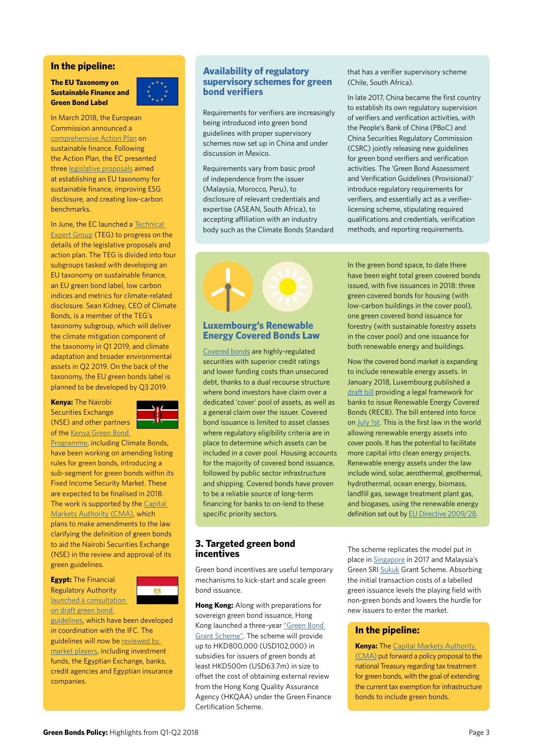#### **In the pipeline:**

#### **The EU Taxonomy on Sustainable Finance and Green Bond Label**



In March 2018, the European Commission announced a [comprehensive Action Plan](https://www.climatebonds.net/files/files/2018-03 CL Aguas Andinas.pdf) on sustainable finance. Following the Action Plan, the EC presented three [legislative proposals](https://www.ec.europa.eu/info/publications/180524-proposal-sustainable-finance_en) aimed at establishing an EU taxonomy for sustainable finance, improving ESG disclosure, and creating low-carbon benchmarks.

In June, the EC launched a [Technical](https://www.ec.europa.eu/info/publications/180613-sustainable-finance-teg-members_en)  [Expert Group](https://www.ec.europa.eu/info/publications/180613-sustainable-finance-teg-members_en) (TEG) to progress on the details of the legislative proposals and action plan. The TEG is divided into four subgroups tasked with developing an EU taxonomy on sustainable finance, an EU green bond label, low carbon indices and metrics for climate-related disclosure. Sean Kidney, CEO of Climate Bonds, is a member of the TEG's taxonomy subgroup, which will deliver the climate mitigation component of the taxonomy in Q1 2019, and climate adaptation and broader environmental assets in Q2 2019. On the back of the taxonomy, the EU green bonds label is planned to be developed by Q3 2019.

**Kenya:** The Nairobi Securities Exchange (NSE) and other partners of the [Kenya Green Bond](http://Kenya Green Bond Programme) 



[Programme,](http://Kenya Green Bond Programme) including Climate Bonds, have been working on amending listing rules for green bonds, introducing a sub-segment for green bonds within its Fixed Income Security Market. These are expected to be finalised in 2018. The work is supported by the Capital [Markets Authority \(CMA\),](http://www.xinhuanet.com/english/2018-04/27/c_137142285.htm) which plans to make amendments to the law clarifying the definition of green bonds to aid the Nairobi Securities Exchange (NSE) in the review and approval of its green guidelines.

**Egypt:** The Financial Regulatory Authority [launched a consultation](https://www.dailynewsegypt.com/2018/06/27/ifc-financial-regulatory-authority-begin-consultations-on-green-bond-guidelines-in-egypt/)  [on draft green bond](https://www.dailynewsegypt.com/2018/06/27/ifc-financial-regulatory-authority-begin-consultations-on-green-bond-guidelines-in-egypt/) 



[guidelines](https://www.dailynewsegypt.com/2018/06/27/ifc-financial-regulatory-authority-begin-consultations-on-green-bond-guidelines-in-egypt/), which have been developed in coordination with the IFC. The guidelines will now be [reviewed by](http://www.egypttoday.com/Article/3/52903/Egypt-s-financial-regulatory-body-launches-dialogue-on-green-bond)  [market players,](http://www.egypttoday.com/Article/3/52903/Egypt-s-financial-regulatory-body-launches-dialogue-on-green-bond) including investment funds, the Egyptian Exchange, banks, credit agencies and Egyptian insurance companies.

#### **Availability of regulatory supervisory schemes for green bond verifiers**

Requirements for verifiers are increasingly being introduced into green bond guidelines with proper supervisory schemes now set up in China and under discussion in Mexico.

Requirements vary from basic proof of independence from the issuer (Malaysia, Morocco, Peru), to disclosure of relevant credentials and expertise (ASEAN, South Africa), to accepting affiliation with an industry body such as the Climate Bonds Standard



#### **Luxembourg's Renewable Energy Covered Bonds Law**

[Covered bonds](https://www.climatebonds.net/files/files/March17_CBI_Briefing_Covered_Bonds.pdf) are highly-regulated securities with superior credit ratings and lower funding costs than unsecured debt, thanks to a dual recourse structure where bond investors have claim over a dedicated 'cover' pool of assets, as well as a general claim over the issuer. Covered bond issuance is limited to asset classes where regulatory eligibility criteria are in place to determine which assets can be included in a cover pool. Housing accounts for the majority of covered bond issuance, followed by public sector infrastructure and shipping. Covered bonds have proven to be a reliable source of long-term financing for banks to on-lend to these specific priority sectors.

#### **3. Targeted green bond incentives**

Green bond incentives are useful temporary mechanisms to kick-start and scale green bond issuance.

**Hong Kong:** Along with preparations for sovereign green bond issuance, Hong Kong launched a three-year ["Green Bond](http://www.thestandard.com.hk/breaking-news.php?id=109063&sid=4)  [Grant Scheme".](http://www.thestandard.com.hk/breaking-news.php?id=109063&sid=4) The scheme will provide up to HKD800,000 (USD102,000) in subsidies for issuers of green bonds at least HKD500m (USD63.7m) in size to offset the cost of obtaining external review from the Hong Kong Quality Assurance Agency (HKQAA) under the Green Finance Certification Scheme.

that has a verifier supervisory scheme (Chile, South Africa).

In late 2017, China became the first country to establish its own regulatory supervision of verifiers and verification activities, with the People's Bank of China (PBoC) and China Securities Regulatory Commission (CSRC) jointly releasing new guidelines for green bond verifiers and verification activities. The 'Green Bond Assessment and Verification Guidelines (Provisional)' introduce regulatory requirements for verifiers, and essentially act as a verifierlicensing scheme, stipulating required qualifications and credentials, verification methods, and reporting requirements.

In the green bond space, to date there have been eight total green covered bonds issued, with five issuances in 2018: three green covered bonds for housing (with low-carbon buildings in the cover pool), one green covered bond issuance for forestry (with sustainable forestry assets in the cover pool) and one issuance for both renewable energy and buildings.

Now the covered bond market is expanding to include renewable energy assets. In January 2018, Luxembourg published a [draft bill](https://www.chd.lu/wps/portal/public/Accueil/Actualite/ALaUne/?current=true&rile=wcm%3Apath%3Aactualite.public.chd.lu/ST-www.chd.lu/sa-actualites/c2abfd3c-2912-4640-b3ec-c2282ce006f4) providing a legal framework for banks to issue Renewable Energy Covered Bonds (RECB). The bill entered into force on [July 1st](https://www.luxtimes.lu/economics/34308-luxembourg-introduces-green-covered-bond-framework). This is the first law in the world allowing renewable energy assets into cover pools. It has the potential to facilitate more capital into clean energy projects. Renewable energy assets under the law include wind, solar, aerothermal, geothermal, hydrothermal, ocean energy, biomass, landfill gas, sewage treatment plant gas, and biogases, using the renewable energy definition set out by **EU Directive 2009/28**.

The scheme replicates the model put in place in [Singapore](https://www.hoganlovells.com/~/media/hogan-lovells/pdf/new-mas-green-bond-grant-scheme.pdf?la=en) in 2017 and Malaysia's Green SRI [Sukuk](http://www.mifc.com/index.php?rp=green_sukuk) Grant Scheme. Absorbing the initial transaction costs of a labelled green issuance levels the playing field with non-green bonds and lowers the hurdle for new issuers to enter the market.

#### **In the pipeline:**

**Kenya:** The [Capital Markets Authority](http://www.xinhuanet.com/english/2018-04/27/c_137142285.htm)  [\(CMA\)](http://www.xinhuanet.com/english/2018-04/27/c_137142285.htm) put forward a policy proposal to the national Treasury regarding tax treatment for green bonds, with the goal of extending the current tax exemption for infrastructure bonds to include green bonds.